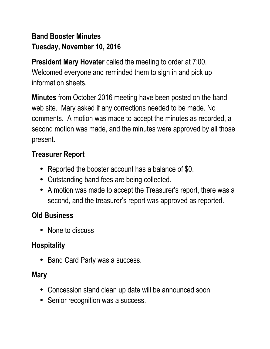# **Band Booster Minutes Tuesday, November 10, 2016**

**President Mary Hovater** called the meeting to order at 7:00. Welcomed everyone and reminded them to sign in and pick up information sheets.

**Minutes** from October 2016 meeting have been posted on the band web site. Mary asked if any corrections needed to be made. No comments. A motion was made to accept the minutes as recorded, a second motion was made, and the minutes were approved by all those present.

## **Treasurer Report**

- Reported the booster account has a balance of \$0.
- Outstanding band fees are being collected.
- A motion was made to accept the Treasurer's report, there was a second, and the treasurer's report was approved as reported.

## **Old Business**

• None to discuss

## **Hospitality**

• Band Card Party was a success.

### **Mary**

- Concession stand clean up date will be announced soon.
- Senior recognition was a success.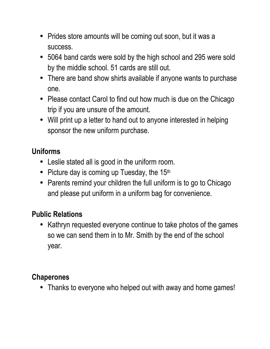- Prides store amounts will be coming out soon, but it was a success.
- 5064 band cards were sold by the high school and 295 were sold by the middle school. 51 cards are still out.
- There are band show shirts available if anyone wants to purchase one.
- Please contact Carol to find out how much is due on the Chicago trip if you are unsure of the amount.
- Will print up a letter to hand out to anyone interested in helping sponsor the new uniform purchase.

## **Uniforms**

- Leslie stated all is good in the uniform room.
- Picture day is coming up Tuesday, the  $15<sup>th</sup>$
- Parents remind your children the full uniform is to go to Chicago and please put uniform in a uniform bag for convenience.

# **Public Relations**

• Kathryn requested everyone continue to take photos of the games so we can send them in to Mr. Smith by the end of the school year.

### **Chaperones**

• Thanks to everyone who helped out with away and home games!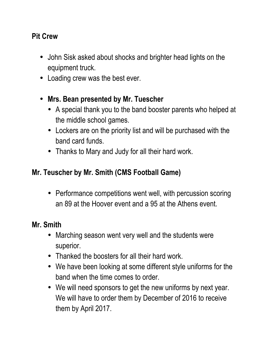### **Pit Crew**

- John Sisk asked about shocks and brighter head lights on the equipment truck.
- Loading crew was the best ever.
- **Mrs. Bean presented by Mr. Tuescher** 
	- A special thank you to the band booster parents who helped at the middle school games.
	- Lockers are on the priority list and will be purchased with the band card funds.
	- Thanks to Mary and Judy for all their hard work.

## **Mr. Teuscher by Mr. Smith (CMS Football Game)**

• Performance competitions went well, with percussion scoring an 89 at the Hoover event and a 95 at the Athens event.

## **Mr. Smith**

- Marching season went very well and the students were superior.
- Thanked the boosters for all their hard work.
- We have been looking at some different style uniforms for the band when the time comes to order.
- We will need sponsors to get the new uniforms by next year. We will have to order them by December of 2016 to receive them by April 2017.